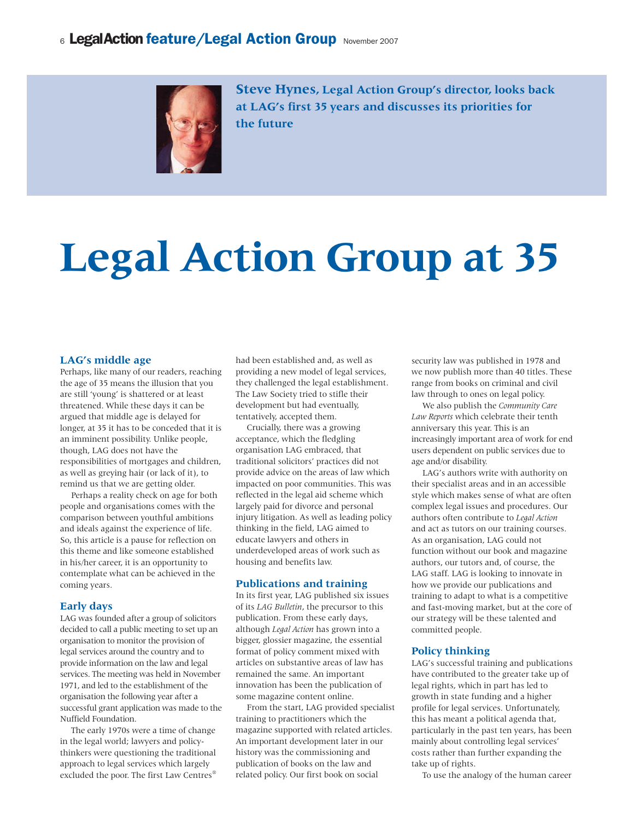

**Steve Hynes, Legal Action Group's director, looks back at LAG's first 35 years and discusses its priorities for the future**

# **Legal Action Group at 35**

## **LAG's middle age**

Perhaps, like many of our readers, reaching the age of 35 means the illusion that you are still 'young' is shattered or at least threatened. While these days it can be argued that middle age is delayed for longer, at 35 it has to be conceded that it is an imminent possibility. Unlike people, though, LAG does not have the responsibilities of mortgages and children, as well as greying hair (or lack of it), to remind us that we are getting older.

Perhaps a reality check on age for both people and organisations comes with the comparison between youthful ambitions and ideals against the experience of life. So, this article is a pause for reflection on this theme and like someone established in his/her career, it is an opportunity to contemplate what can be achieved in the coming years.

#### **Early days**

LAG was founded after a group of solicitors decided to call a public meeting to set up an organisation to monitor the provision of legal services around the country and to provide information on the law and legal services. The meeting was held in November 1971, and led to the establishment of the organisation the following year after a successful grant application was made to the Nuffield Foundation.

The early 1970s were a time of change in the legal world; lawyers and policythinkers were questioning the traditional approach to legal services which largely excluded the poor. The first Law Centres® had been established and, as well as providing a new model of legal services, they challenged the legal establishment. The Law Society tried to stifle their development but had eventually, tentatively, accepted them.

Crucially, there was a growing acceptance, which the fledgling organisation LAG embraced, that traditional solicitors' practices did not provide advice on the areas of law which impacted on poor communities. This was reflected in the legal aid scheme which largely paid for divorce and personal injury litigation. As well as leading policy thinking in the field, LAG aimed to educate lawyers and others in underdeveloped areas of work such as housing and benefits law.

#### **Publications and training**

In its first year, LAG published six issues of its *LAG Bulletin*, the precursor to this publication. From these early days, although *Legal Action* has grown into a bigger, glossier magazine, the essential format of policy comment mixed with articles on substantive areas of law has remained the same. An important innovation has been the publication of some magazine content online.

From the start, LAG provided specialist training to practitioners which the magazine supported with related articles. An important development later in our history was the commissioning and publication of books on the law and related policy. Our first book on social

security law was published in 1978 and we now publish more than 40 titles. These range from books on criminal and civil law through to ones on legal policy.

We also publish the *Community Care Law Reports* which celebrate their tenth anniversary this year. This is an increasingly important area of work for end users dependent on public services due to age and/or disability.

LAG's authors write with authority on their specialist areas and in an accessible style which makes sense of what are often complex legal issues and procedures. Our authors often contribute to *Legal Action* and act as tutors on our training courses. As an organisation, LAG could not function without our book and magazine authors, our tutors and, of course, the LAG staff. LAG is looking to innovate in how we provide our publications and training to adapt to what is a competitive and fast-moving market, but at the core of our strategy will be these talented and committed people.

### **Policy thinking**

LAG's successful training and publications have contributed to the greater take up of legal rights, which in part has led to growth in state funding and a higher profile for legal services. Unfortunately, this has meant a political agenda that, particularly in the past ten years, has been mainly about controlling legal services' costs rather than further expanding the take up of rights.

To use the analogy of the human career